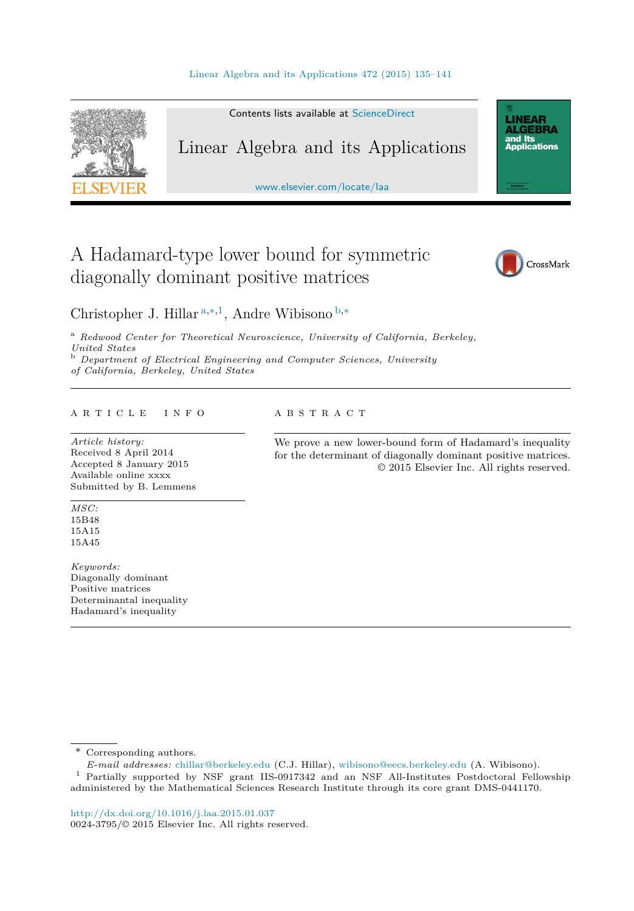

Contents lists available at [ScienceDirect](http://www.ScienceDirect.com/)

## Linear Algebra and its Applications

[www.elsevier.com/locate/laa](http://www.elsevier.com/locate/laa)

# A Hadamard-type lower bound for symmetric diagonally dominant positive matrices



**LINEAR<br>ALGEBRA** and Its ana na<br>Applications

Christopher J. Hillar <sup>a</sup>*,*∗*,*<sup>1</sup>, Andre Wibisono <sup>b</sup>*,*<sup>∗</sup>

<sup>a</sup> *Redwood Center for Theoretical Neuroscience, University of California, Berkeley, United States* <sup>b</sup> *Department of Electrical Engineering and Computer Sciences, University of California, Berkeley, United States*

#### A R T I C L E I N F O A B S T R A C T

*Article history:* Received 8 April 2014 Accepted 8 January 2015 Available online xxxx Submitted by B. Lemmens

*MSC:* 15B48 15A15 15A45

*Keywords:* Diagonally dominant Positive matrices Determinantal inequality Hadamard's inequality

We prove a new lower-bound form of Hadamard's inequality for the determinant of diagonally dominant positive matrices. © 2015 Elsevier Inc. All rights reserved.

\* Corresponding authors.

*E-mail addresses:* [chillar@berkeley.edu](mailto:chillar@berkeley.edu) (C.J. Hillar), [wibisono@eecs.berkeley.edu](mailto:wibisono@eecs.berkeley.edu) (A. Wibisono).

<sup>1</sup> Partially supported by NSF grant IIS-0917342 and an NSF All-Institutes Postdoctoral Fellowship administered by the Mathematical Sciences Research Institute through its core grant DMS-0441170.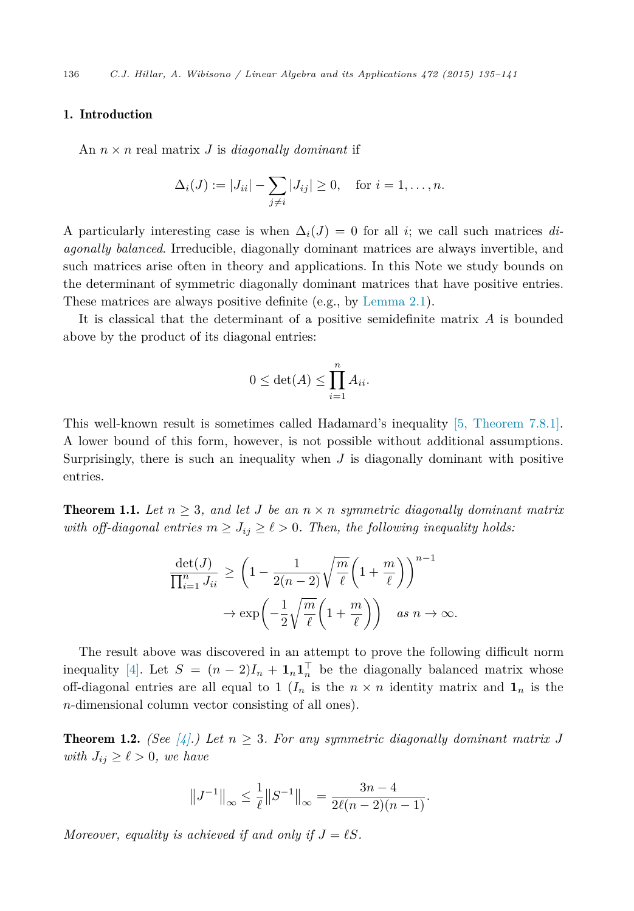#### <span id="page-1-0"></span>1. Introduction

An  $n \times n$  real matrix *J* is *diagonally dominant* if

$$
\Delta_i(J) := |J_{ii}| - \sum_{j \neq i} |J_{ij}| \ge 0
$$
, for  $i = 1, ..., n$ .

A particularly interesting case is when  $\Delta_i(J) = 0$  for all *i*; we call such matrices *diagonally balanced*. Irreducible, diagonally dominant matrices are always invertible, and such matrices arise often in theory and applications. In this Note we study bounds on the determinant of symmetric diagonally dominant matrices that have positive entries. These matrices are always positive definite (e.g., by [Lemma 2.1\)](#page-2-0).

It is classical that the determinant of a positive semidefinite matrix *A* is bounded above by the product of its diagonal entries:

$$
0 \le \det(A) \le \prod_{i=1}^n A_{ii}.
$$

This well-known result is sometimes called Hadamard's inequality [5, [Theorem 7.8.1\].](#page-6-0) A lower bound of this form, however, is not possible without additional assumptions. Surprisingly, there is such an inequality when  $J$  is diagonally dominant with positive entries.

**Theorem 1.1.** Let  $n \geq 3$ , and let *J* be an  $n \times n$  symmetric diagonally dominant matrix *with off-diagonal entries*  $m \geq J_{ij} \geq \ell > 0$ . *Then, the following inequality holds:* 

$$
\frac{\det(J)}{\prod_{i=1}^n J_{ii}} \ge \left(1 - \frac{1}{2(n-2)} \sqrt{\frac{m}{\ell}} \left(1 + \frac{m}{\ell}\right)\right)^{n-1} \to \exp\left(-\frac{1}{2} \sqrt{\frac{m}{\ell}} \left(1 + \frac{m}{\ell}\right)\right) \quad \text{as } n \to \infty.
$$

The result above was discovered in an attempt to prove the following difficult norm inequality [\[4\].](#page-6-0) Let  $S = (n-2)I_n + \mathbf{1}_n \mathbf{1}_n^{\dagger}$  be the diagonally balanced matrix whose off-diagonal entries are all equal to 1 ( $I_n$  is the  $n \times n$  identity matrix and  $\mathbf{1}_n$  is the *n*-dimensional column vector consisting of all ones).

**Theorem 1.2.** *(See* [\[4\].](#page-6-0) *Det*  $n \geq 3$ *. For any symmetric diagonally dominant matrix J with*  $J_{ij} \geq \ell > 0$ *, we have* 

$$
||J^{-1}||_{\infty} \le \frac{1}{\ell} ||S^{-1}||_{\infty} = \frac{3n-4}{2\ell(n-2)(n-1)}.
$$

*Moreover, equality is achieved if* and only if  $J = \ell S$ *.*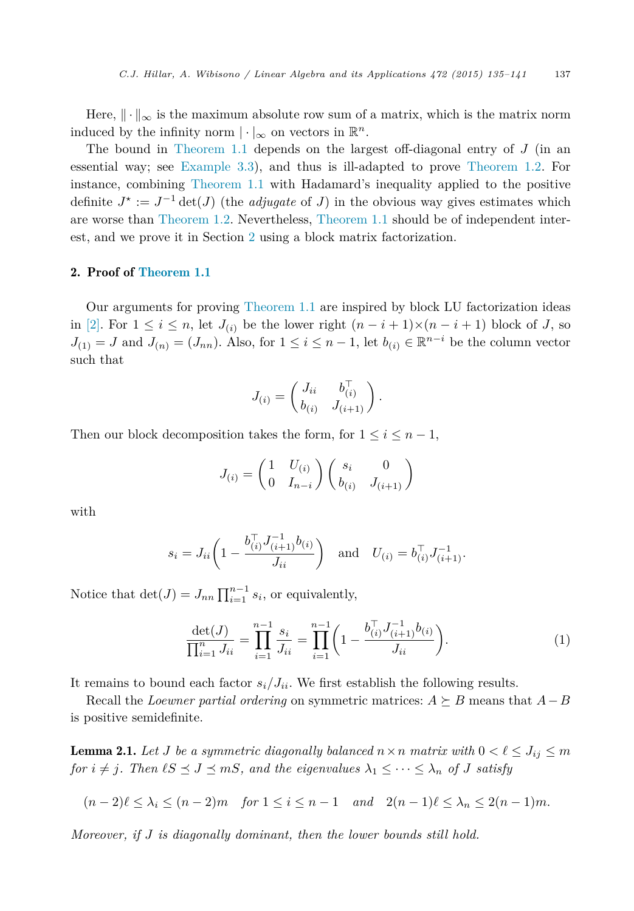<span id="page-2-0"></span>Here,  $\|\cdot\|_{\infty}$  is the maximum absolute row sum of a matrix, which is the matrix norm induced by the infinity norm  $|\cdot|_{\infty}$  on vectors in  $\mathbb{R}^n$ .

The bound in [Theorem 1.1](#page-1-0) depends on the largest off-diagonal entry of *J* (in an essential way; see [Example 3.3\)](#page-4-0), and thus is ill-adapted to prove [Theorem 1.2.](#page-1-0) For instance, combining [Theorem 1.1](#page-1-0) with Hadamard's inequality applied to the positive definite  $J^* := J^{-1} \det(J)$  (the *adjugate* of *J*) in the obvious way gives estimates which are worse than [Theorem 1.2.](#page-1-0) Nevertheless, [Theorem 1.1](#page-1-0) should be of independent interest, and we prove it in Section 2 using a block matrix factorization.

#### 2. Proof of [Theorem 1.1](#page-1-0)

Our arguments for proving [Theorem 1.1](#page-1-0) are inspired by block LU factorization ideas in [\[2\].](#page-6-0) For  $1 \leq i \leq n$ , let  $J_{(i)}$  be the lower right  $(n-i+1)\times(n-i+1)$  block of *J*, so  $J_{(1)} = J$  and  $J_{(n)} = (J_{nn})$ . Also, for  $1 \leq i \leq n-1$ , let  $b_{(i)} \in \mathbb{R}^{n-i}$  be the column vector such that

$$
J_{(i)} = \begin{pmatrix} J_{ii} & b_{(i)}^{\top} \\ b_{(i)} & J_{(i+1)} \end{pmatrix}.
$$

Then our block decomposition takes the form, for  $1 \leq i \leq n-1$ ,

$$
J_{(i)} = \begin{pmatrix} 1 & U_{(i)} \\ 0 & I_{n-i} \end{pmatrix} \begin{pmatrix} s_i & 0 \\ b_{(i)} & J_{(i+1)} \end{pmatrix}
$$

with

$$
s_i = J_{ii} \left( 1 - \frac{b_{(i)}^\top J_{(i+1)}^{-1} b_{(i)}}{J_{ii}} \right) \quad \text{and} \quad U_{(i)} = b_{(i)}^\top J_{(i+1)}^{-1}.
$$

Notice that  $\det(J) = J_{nn} \prod_{i=1}^{n-1} s_i$ , or equivalently,

$$
\frac{\det(J)}{\prod_{i=1}^n J_{ii}} = \prod_{i=1}^{n-1} \frac{s_i}{J_{ii}} = \prod_{i=1}^{n-1} \left( 1 - \frac{b_{(i)}^\top J_{(i+1)}^{-1} b_{(i)}}{J_{ii}} \right). \tag{1}
$$

It remains to bound each factor  $s_i / J_{ii}$ . We first establish the following results.

Recall the *Loewner* partial ordering on symmetric matrices:  $A \succeq B$  means that  $A - B$ is positive semidefinite.

**Lemma 2.1.** Let *J* be a symmetric diagonally balanced  $n \times n$  matrix with  $0 < \ell \leq J_{ij} \leq m$  $for i \neq j$ . Then  $\ell S \preceq J \preceq mS$ , and the eigenvalues  $\lambda_1 \leq \cdots \leq \lambda_n$  of *J* satisfy

$$
(n-2)\ell \leq \lambda_i \leq (n-2)m \quad \text{for } 1 \leq i \leq n-1 \quad \text{and} \quad 2(n-1)\ell \leq \lambda_n \leq 2(n-1)m.
$$

*Moreover, if J is diagonally dominant, then the lower bounds still hold.*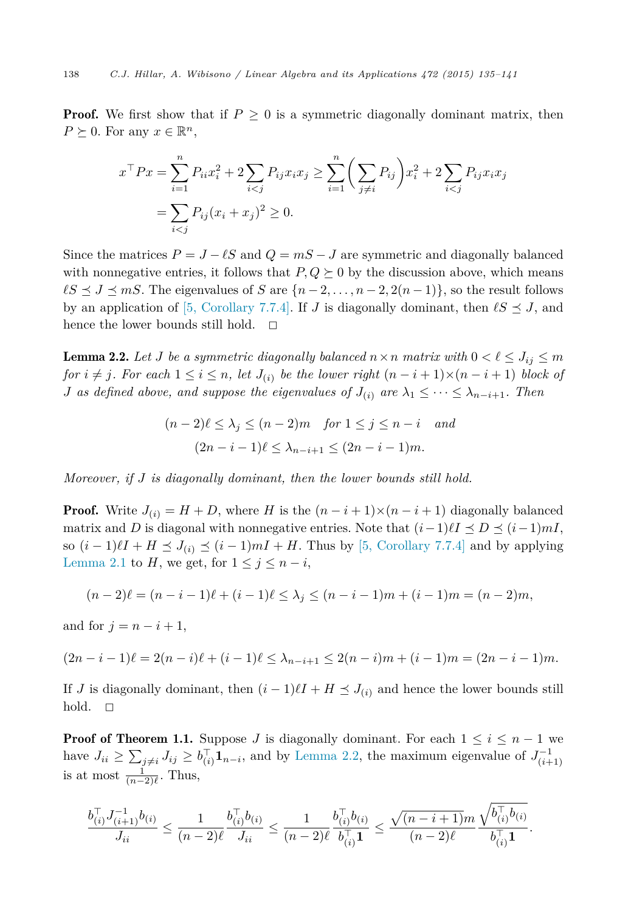**Proof.** We first show that if  $P \geq 0$  is a symmetric diagonally dominant matrix, then  $P \succeq 0$ . For any  $x \in \mathbb{R}^n$ ,

$$
x^{\top}Px = \sum_{i=1}^{n} P_{ii}x_i^2 + 2\sum_{i < j} P_{ij}x_ix_j \ge \sum_{i=1}^{n} \left(\sum_{j \ne i} P_{ij}\right)x_i^2 + 2\sum_{i < j} P_{ij}x_ix_j
$$
\n
$$
= \sum_{i < j} P_{ij}(x_i + x_j)^2 \ge 0.
$$

Since the matrices  $P = J - \ell S$  and  $Q = mS - J$  are symmetric and diagonally balanced with nonnegative entries, it follows that  $P, Q \succeq 0$  by the discussion above, which means  $\ell S \leq J \leq mS$ . The eigenvalues of *S* are  $\{n-2,\ldots,n-2,2(n-1)\}$ , so the result follows by an application of [5, [Corollary 7.7.4\].](#page-6-0) If *J* is diagonally dominant, then  $\ell S \preceq J$ , and hence the lower bounds still hold.  $\square$ 

**Lemma 2.2.** Let *J* be a symmetric diagonally balanced  $n \times n$  matrix with  $0 < \ell \leq J_{ij} \leq m$ for  $i \neq j$ . For each  $1 \leq i \leq n$ , let  $J_{(i)}$  be the lower right  $(n-i+1)\times (n-i+1)$  block of *J as defined above, and suppose the eigenvalues of*  $J_{(i)}$  *are*  $\lambda_1 \leq \cdots \leq \lambda_{n-i+1}$ *. Then* 

$$
(n-2)\ell \leq \lambda_j \leq (n-2)m \quad \text{for } 1 \leq j \leq n-i \quad \text{and}
$$

$$
(2n-i-1)\ell \leq \lambda_{n-i+1} \leq (2n-i-1)m.
$$

*Moreover, if J is diagonally dominant, then the lower bounds still hold.*

**Proof.** Write  $J(i) = H + D$ , where *H* is the  $(n - i + 1) \times (n - i + 1)$  diagonally balanced matrix and *D* is diagonal with nonnegative entries. Note that  $(i-1) \ell I \preceq D \preceq (i-1) mI$ , so  $(i-1)\ell I + H \leq J_{(i)} \leq (i-1)mI + H$ . Thus by [5, [Corollary 7.7.4\]](#page-6-0) and by applying [Lemma 2.1](#page-2-0) to *H*, we get, for  $1 \leq j \leq n - i$ ,

$$
(n-2)\ell = (n-i-1)\ell + (i-1)\ell \leq \lambda_j \leq (n-i-1)m + (i-1)m = (n-2)m,
$$

and for  $j = n - i + 1$ ,

$$
(2n-i-1)\ell = 2(n-i)\ell + (i-1)\ell \leq \lambda_{n-i+1} \leq 2(n-i)m + (i-1)m = (2n-i-1)m.
$$

If *J* is diagonally dominant, then  $(i - 1)\ell I + H \leq J_{(i)}$  and hence the lower bounds still hold.  $\Box$ 

**Proof of Theorem 1.1.** Suppose *J* is diagonally dominant. For each  $1 \leq i \leq n-1$  we have  $J_{ii} \ge \sum_{j \ne i} J_{ij} \ge b_{(i)}^{\top} \mathbf{1}_{n-i}$ , and by Lemma 2.2, the maximum eigenvalue of  $J_{(i+1)}^{-1}$ is at most  $\frac{1}{(n-2)\ell}$ . Thus,

$$
\frac{b_{(i)}^\top J_{(i+1)}^{-1} b_{(i)}}{J_{ii}} \leq \frac{1}{(n-2)\ell} \frac{b_{(i)}^\top b_{(i)}}{J_{ii}} \leq \frac{1}{(n-2)\ell} \frac{b_{(i)}^\top b_{(i)}}{b_{(i)}^\top \mathbf{1}} \leq \frac{\sqrt{(n-i+1)} m}{(n-2)\ell} \frac{\sqrt{b_{(i)}^\top b_{(i)}}}{b_{(i)}^\top \mathbf{1}}.
$$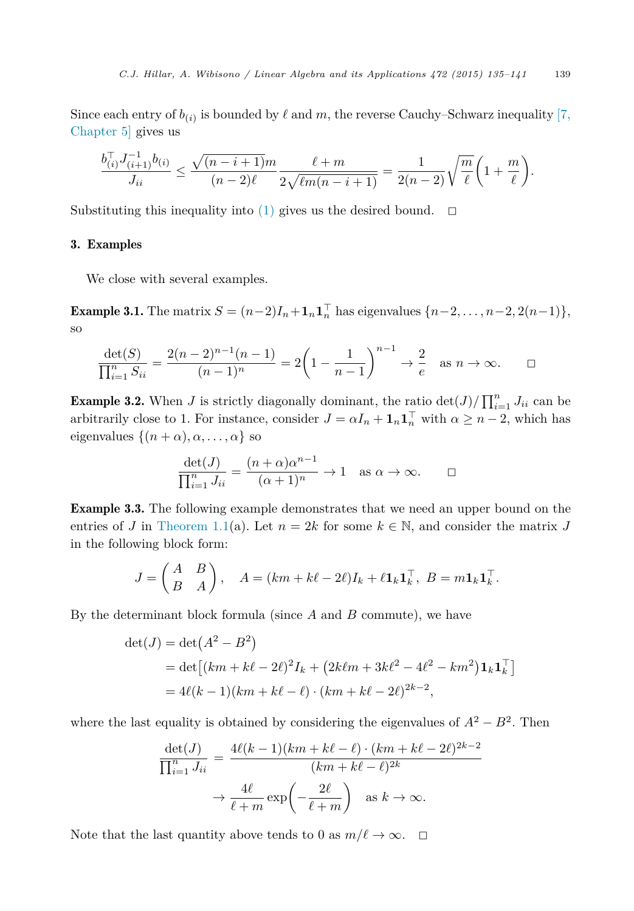<span id="page-4-0"></span>Since each entry of  $b_{(i)}$  is bounded by  $\ell$  and  $m$ , the reverse Cauchy–Schwarz inequality [\[7,](#page-6-0) [Chapter 5\]](#page-6-0) gives us

$$
\frac{b_{(i)}^\top J_{(i+1)}^{-1} b_{(i)}}{J_{ii}} \le \frac{\sqrt{(n-i+1)m}}{(n-2)\ell} \frac{\ell+m}{2\sqrt{\ell m(n-i+1)}} = \frac{1}{2(n-2)} \sqrt{\frac{m}{\ell}} \left(1 + \frac{m}{\ell}\right).
$$

Substituting this inequality into [\(1\)](#page-2-0) gives us the desired bound.  $\Box$ 

### 3. Examples

We close with several examples.

Example 3.1. The matrix  $S = (n-2)I_n + \mathbf{1}_n \mathbf{1}_n^{\top}$  has eigenvalues  $\{n-2, \ldots, n-2, 2(n-1)\},$ so

$$
\frac{\det(S)}{\prod_{i=1}^n S_{ii}} = \frac{2(n-2)^{n-1}(n-1)}{(n-1)^n} = 2\left(1 - \frac{1}{n-1}\right)^{n-1} \to \frac{2}{e} \text{ as } n \to \infty. \qquad \Box
$$

**Example 3.2.** When *J* is strictly diagonally dominant, the ratio  $\det(J)/\prod_{i=1}^{n} J_{ii}$  can be arbitrarily close to 1. For instance, consider  $J = \alpha I_n + \mathbf{1}_n \mathbf{1}_n^{\top}$  with  $\alpha \geq n-2$ , which has eigenvalues  $\{(n + \alpha), \alpha, \ldots, \alpha\}$  so

$$
\frac{\det(J)}{\prod_{i=1}^n J_{ii}} = \frac{(n+\alpha)\alpha^{n-1}}{(\alpha+1)^n} \to 1 \quad \text{as } \alpha \to \infty. \qquad \Box
$$

Example 3.3. The following example demonstrates that we need an upper bound on the entries of *J* in [Theorem 1.1\(](#page-1-0)a). Let  $n = 2k$  for some  $k \in \mathbb{N}$ , and consider the matrix *J* in the following block form:

$$
J = \begin{pmatrix} A & B \\ B & A \end{pmatrix}, \quad A = (km + k\ell - 2\ell)I_k + \ell \mathbf{1}_k \mathbf{1}_k^\top, \ B = m \mathbf{1}_k \mathbf{1}_k^\top.
$$

By the determinant block formula (since *A* and *B* commute), we have

$$
det(J) = det(A2 – B2)
$$
  
= det [(km + k $\ell$  – 2 $\ell$ )<sup>2</sup>I<sub>k</sub> + (2k $\ell$ m + 3k $\ell$ <sup>2</sup> – 4 $\ell$ <sup>2</sup> – km<sup>2</sup>) $\mathbf{1}_k \mathbf{1}_k^{\top}$ ]  
= 4 $\ell$ (k – 1)(km + k $\ell$  –  $\ell$ ) · (km + k $\ell$  – 2 $\ell$ )<sup>2k-2</sup>,

where the last equality is obtained by considering the eigenvalues of  $A^2 - B^2$ . Then

$$
\frac{\det(J)}{\prod_{i=1}^n J_{ii}} = \frac{4\ell(k-1)(km+k\ell-\ell)\cdot(km+k\ell-2\ell)^{2k-2}}{(km+k\ell-\ell)^{2k}}
$$

$$
\rightarrow \frac{4\ell}{\ell+m} \exp\left(-\frac{2\ell}{\ell+m}\right) \quad \text{as } k \rightarrow \infty.
$$

Note that the last quantity above tends to 0 as  $m/\ell \to \infty$ .  $\Box$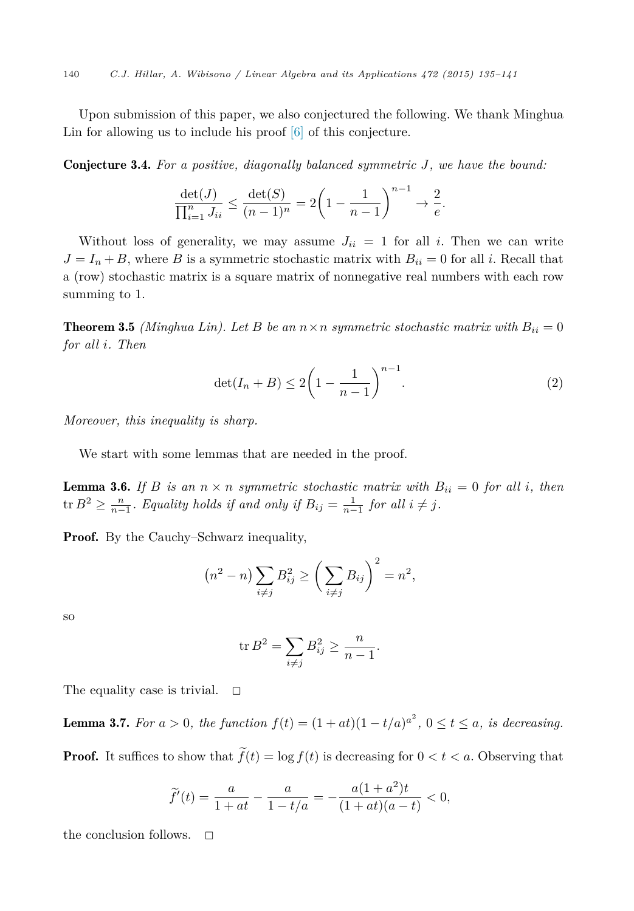<span id="page-5-0"></span>Upon submission of this paper, we also conjectured the following. We thank Minghua Lin for allowing us to include his proof [\[6\]](#page-6-0) of this conjecture.

Conjecture 3.4. *For a positive, diagonally balanced symmetric J, we have the bound:*

$$
\frac{\det(J)}{\prod_{i=1}^n J_{ii}} \le \frac{\det(S)}{(n-1)^n} = 2\left(1 - \frac{1}{n-1}\right)^{n-1} \to \frac{2}{e}.
$$

Without loss of generality, we may assume  $J_{ii} = 1$  for all *i*. Then we can write  $J = I_n + B$ , where *B* is a symmetric stochastic matrix with  $B_{ii} = 0$  for all *i*. Recall that a (row) stochastic matrix is a square matrix of nonnegative real numbers with each row summing to 1.

**Theorem 3.5** *(Minghua Lin).* Let *B be* an  $n \times n$  *symmetric stochastic matrix with*  $B_{ii} = 0$ *for all i. Then*

$$
\det(I_n + B) \le 2\left(1 - \frac{1}{n-1}\right)^{n-1}.\tag{2}
$$

*Moreover, this inequality is sharp.*

We start with some lemmas that are needed in the proof.

**Lemma 3.6.** If *B is* an  $n \times n$  *symmetric stochastic matrix with*  $B_{ii} = 0$  *for all i*, *then*  $\tan B^2 \ge \frac{n}{n-1}$ . Equality holds if and only if  $B_{ij} = \frac{1}{n-1}$  for all  $i \ne j$ .

**Proof.** By the Cauchy–Schwarz inequality,

$$
(n2 - n) \sum_{i \neq j} B_{ij}^{2} \geq \left(\sum_{i \neq j} B_{ij}\right)^{2} = n^{2},
$$

so

$$
\operatorname{tr} B^2 = \sum_{i \neq j} B_{ij}^2 \ge \frac{n}{n-1}.
$$

The equality case is trivial.  $\square$ 

**Lemma 3.7.** For  $a > 0$ , the function  $f(t) = (1 + at)(1 - t/a)^{a^2}$ ,  $0 \le t \le a$ , is decreasing.

**Proof.** It suffices to show that  $f(t) = \log f(t)$  is decreasing for  $0 < t < a$ . Observing that

$$
\widetilde{f}'(t)=\frac{a}{1+at}-\frac{a}{1-t/a}=-\frac{a(1+a^2)t}{(1+at)(a-t)}<0,
$$

the conclusion follows.  $\Box$